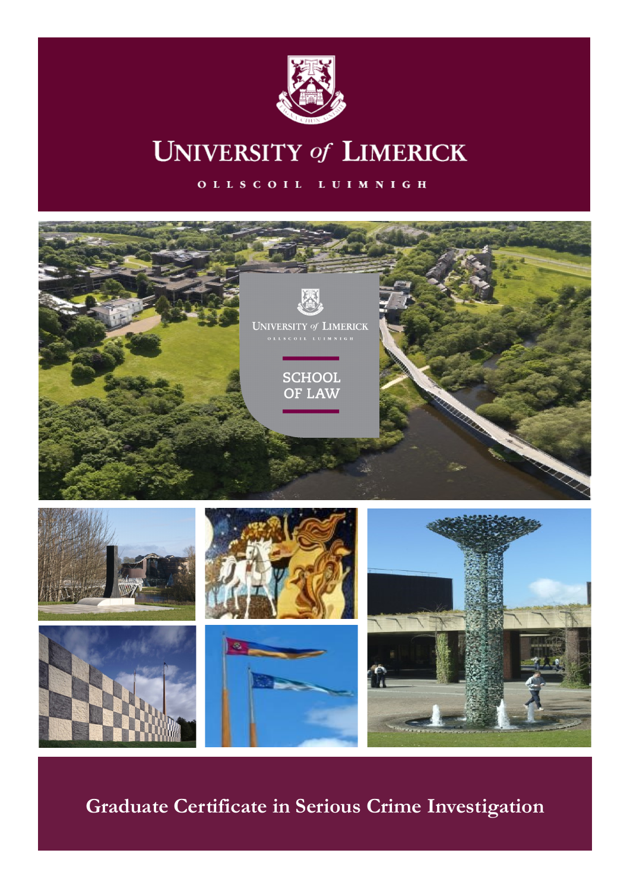

# **UNIVERSITY of LIMERICK**

OLLSCOIL LUIMNIGH



# **Graduate Certificate in Serious Crime Investigation**